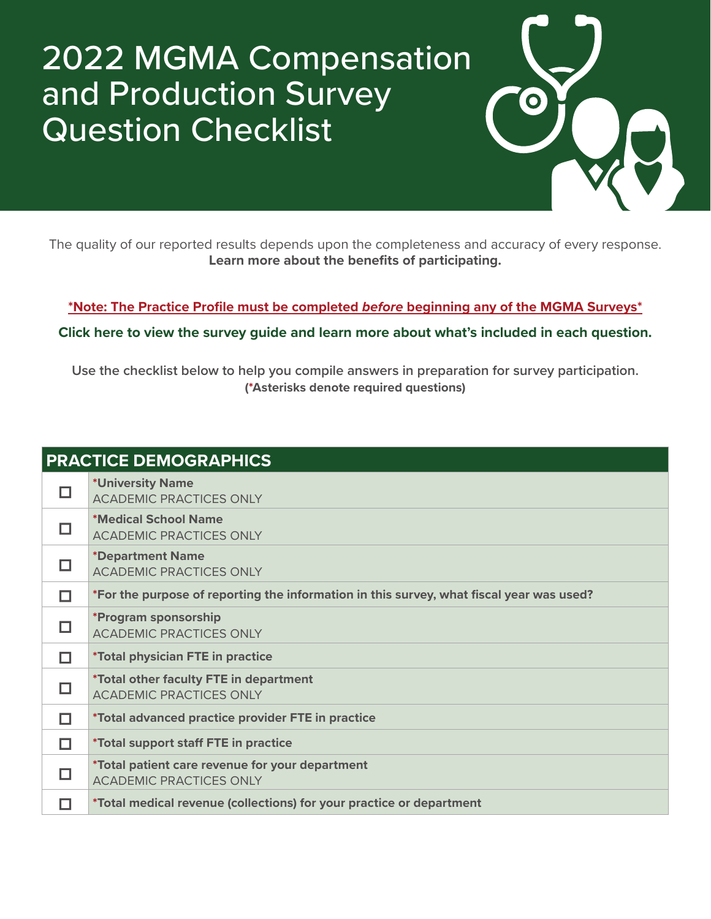## 2022 MGMA Compensation and Production Survey Question Checklist



**[\\*Note: The Practice Profile must be completed](https://mgma.com/getmedia/8e492fd2-5762-47f4-bcee-97526a988a30/FINAL_2111-D13778F-Updated-Practice-Profile-Guide-Letter-V2-NM.pdf.aspx)** *before* **beginning any of the MGMA Surveys\***

**[Click here to view the survey guide and learn more about what's included in each question.](https://mgma.com/getmedia/b9e81ec9-c727-4ea3-ac3f-2d71d0cf65b4/FINAL_2111-D18317F-2022-Comp-Production_GUIDE-MA_v3.pdf.aspx)**

**Use the checklist below to help you compile answers in preparation for survey participation. (\*Asterisks denote required questions)**

| <b>PRACTICE DEMOGRAPHICS</b> |                                                                                          |
|------------------------------|------------------------------------------------------------------------------------------|
|                              | *University Name<br><b>ACADEMIC PRACTICES ONLY</b>                                       |
|                              | *Medical School Name<br><b>ACADEMIC PRACTICES ONLY</b>                                   |
|                              | <i><b>*Department Name</b></i><br><b>ACADEMIC PRACTICES ONLY</b>                         |
|                              | *For the purpose of reporting the information in this survey, what fiscal year was used? |
|                              | *Program sponsorship<br><b>ACADEMIC PRACTICES ONLY</b>                                   |
|                              | <i>*Total physician FTE in practice</i>                                                  |
|                              | *Total other faculty FTE in department<br><b>ACADEMIC PRACTICES ONLY</b>                 |
|                              | *Total advanced practice provider FTE in practice                                        |
| П                            | *Total support staff FTE in practice                                                     |
|                              | *Total patient care revenue for your department<br><b>ACADEMIC PRACTICES ONLY</b>        |
|                              | *Total medical revenue (collections) for your practice or department                     |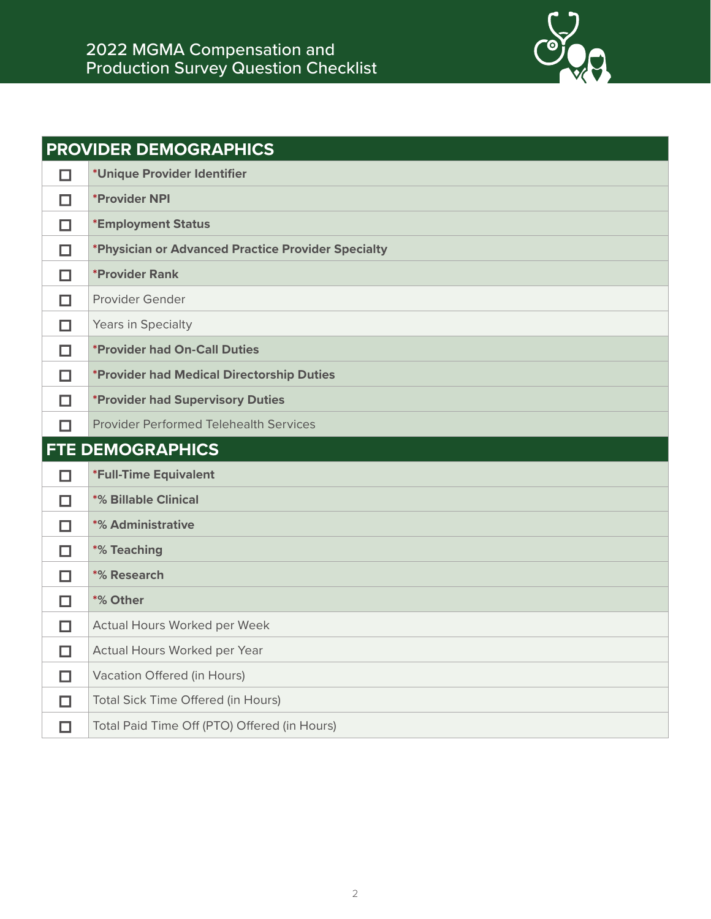

| <b>PROVIDER DEMOGRAPHICS</b> |                                                    |
|------------------------------|----------------------------------------------------|
| □                            | *Unique Provider Identifier                        |
| П                            | *Provider NPI                                      |
| п                            | *Employment Status                                 |
| п                            | *Physician or Advanced Practice Provider Specialty |
| □                            | <i><b>*Provider Rank</b></i>                       |
| П                            | Provider Gender                                    |
| П                            | Years in Specialty                                 |
| □                            | <i><b>*Provider had On-Call Duties</b></i>         |
| П                            | *Provider had Medical Directorship Duties          |
| □                            | <i><b>*Provider had Supervisory Duties</b></i>     |
|                              | <b>Provider Performed Telehealth Services</b>      |
|                              |                                                    |
|                              | <b>FTE DEMOGRAPHICS</b>                            |
| П                            | *Full-Time Equivalent                              |
| П                            | <b>*% Billable Clinical</b>                        |
| П                            | *% Administrative                                  |
| П                            | *% Teaching                                        |
| $\Box$                       | *% Research                                        |
| п                            | *% Other                                           |
| п                            | Actual Hours Worked per Week                       |
| □                            | Actual Hours Worked per Year                       |
| П                            | Vacation Offered (in Hours)                        |
| □                            | Total Sick Time Offered (in Hours)                 |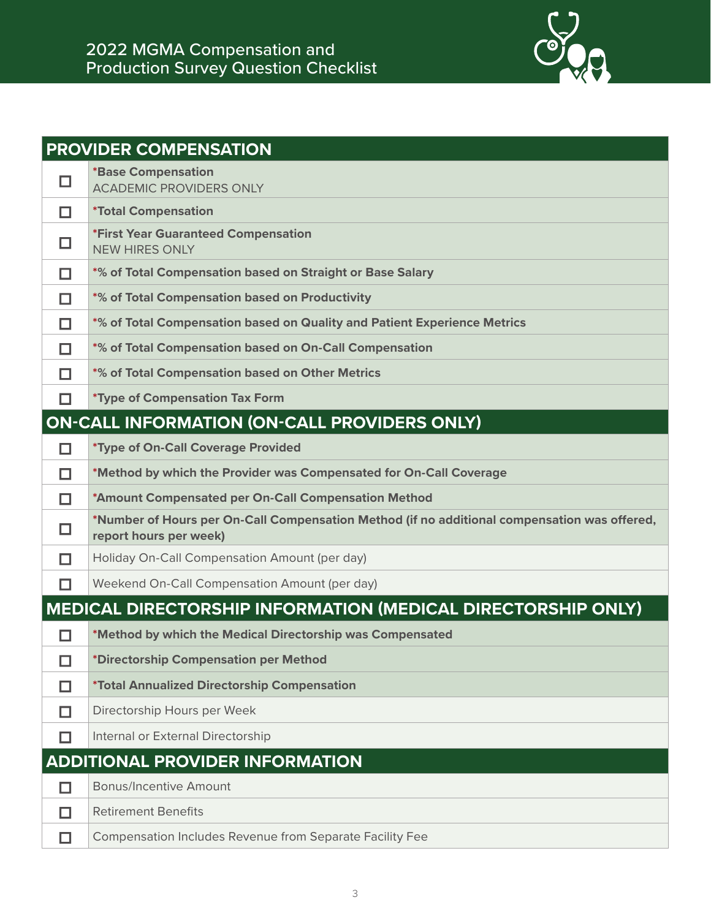

|   | <b>PROVIDER COMPENSATION</b>                                                                                           |
|---|------------------------------------------------------------------------------------------------------------------------|
| H | <b>*Base Compensation</b><br><b>ACADEMIC PROVIDERS ONLY</b>                                                            |
| П | <i><b>*Total Compensation</b></i>                                                                                      |
|   | <i><b>*First Year Guaranteed Compensation</b></i><br><b>NEW HIRES ONLY</b>                                             |
| П | *% of Total Compensation based on Straight or Base Salary                                                              |
| П | *% of Total Compensation based on Productivity                                                                         |
| П | *% of Total Compensation based on Quality and Patient Experience Metrics                                               |
| П | *% of Total Compensation based on On-Call Compensation                                                                 |
| П | *% of Total Compensation based on Other Metrics                                                                        |
| П | <i>*Type of Compensation Tax Form</i>                                                                                  |
|   | <b>ON-CALL INFORMATION (ON-CALL PROVIDERS ONLY)</b>                                                                    |
| п | *Type of On-Call Coverage Provided                                                                                     |
| П | *Method by which the Provider was Compensated for On-Call Coverage                                                     |
| П | *Amount Compensated per On-Call Compensation Method                                                                    |
| ш | *Number of Hours per On-Call Compensation Method (if no additional compensation was offered,<br>report hours per week) |
| П | Holiday On-Call Compensation Amount (per day)                                                                          |
|   | Weekend On-Call Compensation Amount (per day)                                                                          |
|   | MEDICAL DIRECTORSHIP INFORMATION (MEDICAL DIRECTORSHIP ONLY)                                                           |
|   | *Method by which the Medical Directorship was Compensated                                                              |
| П | *Directorship Compensation per Method                                                                                  |
| H | *Total Annualized Directorship Compensation                                                                            |
| ш | Directorship Hours per Week                                                                                            |
|   | Internal or External Directorship                                                                                      |
|   | <b>ADDITIONAL PROVIDER INFORMATION</b>                                                                                 |
| П | <b>Bonus/Incentive Amount</b>                                                                                          |
| H | <b>Retirement Benefits</b>                                                                                             |
| П | Compensation Includes Revenue from Separate Facility Fee                                                               |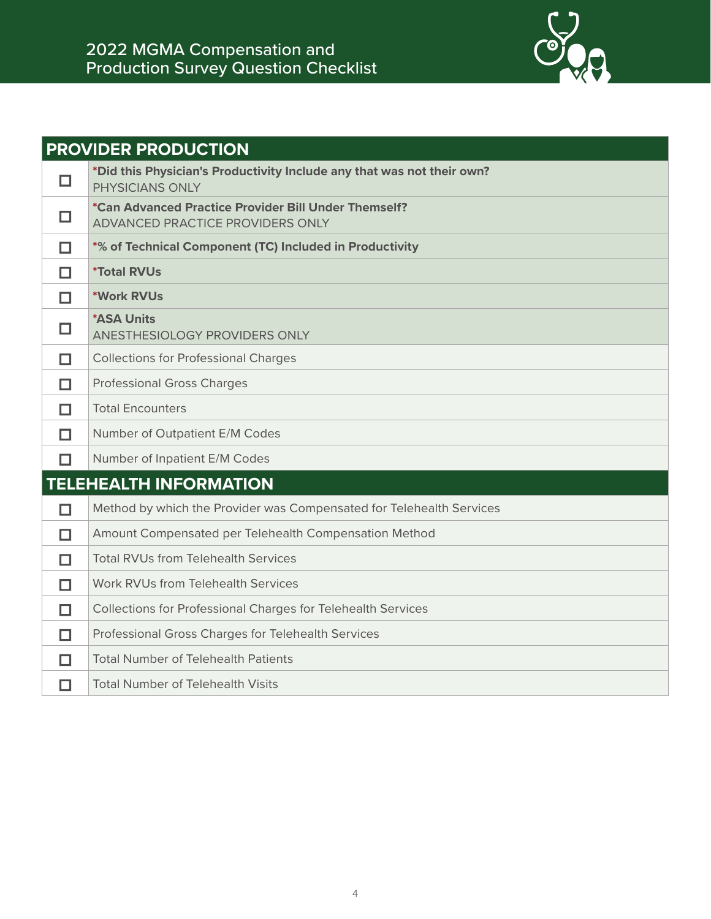

| <b>PROVIDER PRODUCTION</b> |                                                                                                 |
|----------------------------|-------------------------------------------------------------------------------------------------|
| □                          | *Did this Physician's Productivity Include any that was not their own?<br>PHYSICIANS ONLY       |
| $\Box$                     | *Can Advanced Practice Provider Bill Under Themself?<br><b>ADVANCED PRACTICE PROVIDERS ONLY</b> |
| П                          | *% of Technical Component (TC) Included in Productivity                                         |
| П                          | <i><b>*Total RVUs</b></i>                                                                       |
| □                          | *Work RVUs                                                                                      |
| □                          | <b>*ASA Units</b><br>ANESTHESIOLOGY PROVIDERS ONLY                                              |
| П                          | <b>Collections for Professional Charges</b>                                                     |
| П                          | <b>Professional Gross Charges</b>                                                               |
| п                          | <b>Total Encounters</b>                                                                         |
| П                          | Number of Outpatient E/M Codes                                                                  |
| П                          | Number of Inpatient E/M Codes                                                                   |
|                            | <b>TELEHEALTH INFORMATION</b>                                                                   |
| П                          | Method by which the Provider was Compensated for Telehealth Services                            |
| П                          | Amount Compensated per Telehealth Compensation Method                                           |
| П                          | <b>Total RVUs from Telehealth Services</b>                                                      |
| п                          | Work RVUs from Telehealth Services                                                              |
| П                          | Collections for Professional Charges for Telehealth Services                                    |
| п                          | Professional Gross Charges for Telehealth Services                                              |
| П                          | <b>Total Number of Telehealth Patients</b>                                                      |
| П                          | <b>Total Number of Telehealth Visits</b>                                                        |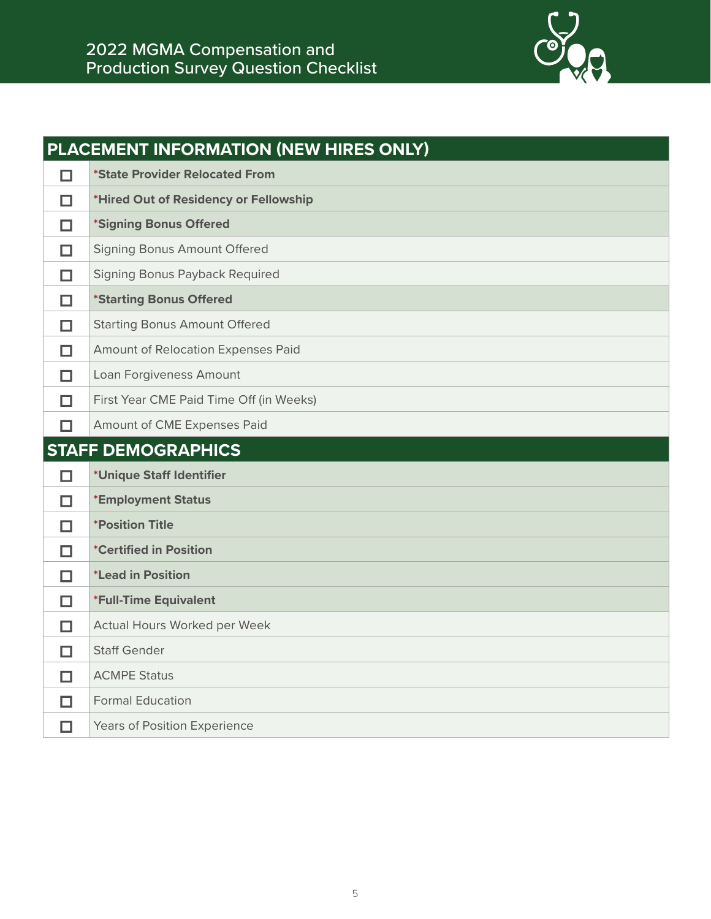

|        | PLACEMENT INFORMATION (NEW HIRES ONLY)  |
|--------|-----------------------------------------|
| □      | <i>*State Provider Relocated From</i>   |
| □      | *Hired Out of Residency or Fellowship   |
| □      | *Signing Bonus Offered                  |
| п      | Signing Bonus Amount Offered            |
| □      | Signing Bonus Payback Required          |
| □      | *Starting Bonus Offered                 |
| $\Box$ | <b>Starting Bonus Amount Offered</b>    |
| □      | Amount of Relocation Expenses Paid      |
| □      | Loan Forgiveness Amount                 |
| □      | First Year CME Paid Time Off (in Weeks) |
| п      | Amount of CME Expenses Paid             |
|        |                                         |
|        | <b>STAFF DEMOGRAPHICS</b>               |
| □      | *Unique Staff Identifier                |
| □      | *Employment Status                      |
| □      | <i><b>*Position Title</b></i>           |
| □      | <i>*Certified in Position</i>           |
| □      | <i>*Lead in Position</i>                |
| □      | *Full-Time Equivalent                   |
| П      | Actual Hours Worked per Week            |
| □      | <b>Staff Gender</b>                     |
| □      | <b>ACMPE Status</b>                     |
| п      | <b>Formal Education</b>                 |